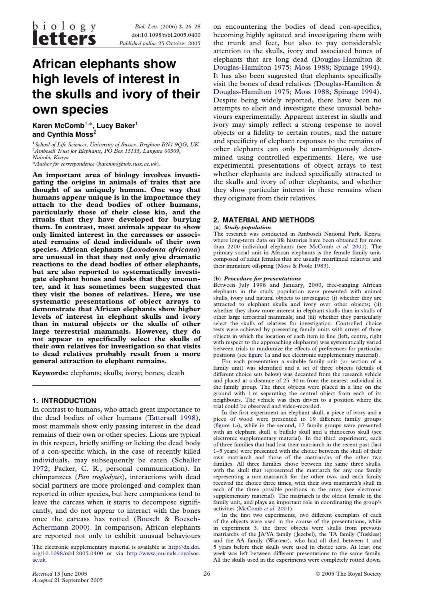Biol. Lett. (2006) 2, 26–28 doi:10.1098/rsbl.2005.0400 Published online 25 October 2005

# African elephants show high levels of interest in the skulls and ivory of their own species

Karen McComb<sup>1,\*</sup>, Lucy Baker<sup>1</sup> and Cynthia Moss $2$ 

<sup>1</sup> School of Life Sciences, University of Sussex, Brighton BN1 9QG, UK  $^{2}$ Amboseli Trust for Elephants, PO Box 15135, Langata 00509, Nairobi, Kenya

\*Author for correspondence (karenm@biols.susx.ac.uk).

An important area of biology involves investigating the origins in animals of traits that are thought of as uniquely human. One way that humans appear unique is in the importance they attach to the dead bodies of other humans, particularly those of their close kin, and the rituals that they have developed for burying them. In contrast, most animals appear to show only limited interest in the carcasses or associated remains of dead individuals of their own species. African elephants (Loxodonta africana) are unusual in that they not only give dramatic reactions to the dead bodies of other elephants, but are also reported to systematically investigate elephant bones and tusks that they encounter, and it has sometimes been suggested that they visit the bones of relatives. Here, we use systematic presentations of object arrays to demonstrate that African elephants show higher levels of interest in elephant skulls and ivory than in natural objects or the skulls of other large terrestrial mammals. However, they do not appear to specifically select the skulls of their own relatives for investigation so that visits to dead relatives probably result from a more general attraction to elephant remains.

Keywords: elephants; skulls; ivory; bones; death

## 1. INTRODUCTION

In contrast to humans, who attach great importance to the dead bodies of other humans [\(Tattersall 1998\)](#page-2-0), most mammals show only passing interest in the dead remains of their own or other species. Lions are typical in this respect, briefly sniffing or licking the dead body of a con-specific which, in the case of recently killed individuals, may subsequently be eaten ([Schaller](#page-2-0) [1972](#page-2-0); Packer, C. R., personal communication). In chimpanzees (Pan troglodytes), interactions with dead social partners are more prolonged and complex than reported in other species, but here companions tend to leave the carcass when it starts to decompose significantly, and do not appear to interact with the bones once the carcass has rotted ([Boesch & Boesch-](#page-2-0)[Achermann 2000](#page-2-0)). In comparison, African elephants are reported not only to exhibit unusual behaviours

The electronic supplementary material is available at [http://dx.doi.](http://dx.doi.org/10.1098/rsbl.2005.0400) [org/10.1098/rsbl.2005.0400](http://dx.doi.org/10.1098/rsbl.2005.0400) or via [http://www.journals.royalsoc.](http://www.journals.royalsoc.ac.uk) [ac.uk.](http://www.journals.royalsoc.ac.uk)

on encountering the bodies of dead con-specifics, becoming highly agitated and investigating them with the trunk and feet, but also to pay considerable attention to the skulls, ivory and associated bones of elephants that are long dead [\(Douglas-Hamilton &](#page-2-0) [Douglas-Hamilton 1975](#page-2-0); [Moss 1988](#page-2-0); [Spinage 1994\)](#page-2-0). It has also been suggested that elephants specifically visit the bones of dead relatives [\(Douglas-Hamilton &](#page-2-0) [Douglas-Hamilton 1975](#page-2-0); [Moss 1988](#page-2-0); [Spinage 1994\)](#page-2-0). Despite being widely reported, there have been no attempts to elicit and investigate these unusual behaviours experimentally. Apparent interest in skulls and ivory may simply reflect a strong response to novel objects or a fidelity to certain routes, and the nature and specificity of elephant responses to the remains of other elephants can only be unambiguously determined using controlled experiments. Here, we use experimental presentations of object arrays to test whether elephants are indeed specifically attracted to the skulls and ivory of other elephants, and whether they show particular interest in these remains when they originate from their relatives.

## 2. MATERIAL AND METHODS

#### (a) Study population

The research was conducted in Amboseli National Park, Kenya, where long-term data on life histories have been obtained for more than 2200 individual elephants (see [McComb](#page-2-0) et al. 2001). The primary social unit in African elephants is the female family unit, composed of adult females that are usually matrilineal relatives and their immature offspring [\(Moss & Poole 1983](#page-2-0)).

#### (b) Procedure for presentations

Between July 1998 and January, 2000, free-ranging African elephants in the study population were presented with animal skulls, ivory and natural objects to investigate: (i) whether they are attracted to elephant skulls and ivory over other objects; (ii) whether they show more interest in elephant skulls than in skulls of other large terrestrial mammals; and (iii) whether they particularly select the skulls of relatives for investigation. Controlled choice tests were achieved by presenting family units with arrays of three objects in which the location of each item in line (left, centre, right with respect to the approaching elephants) was systematically varied between trials to randomize the effects of preferences for particular positions (see [figure 1](#page-1-0)a and see electronic supplementary material).

For each presentation a suitable family unit (or section of a family unit) was identified and a set of three objects (details of different choice sets below) was decanted from the research vehicle and placed at a distance of 25–30 m from the nearest individual in the family group. The three objects were placed in a line on the ground with 1 m separating the central object from each of its neighbours. The vehicle was then driven to a position where the trial could be observed and video-recorded.

In the first experiment an elephant skull, a piece of ivory and a piece of wood were presented to 19 different family groups [\(figure 1](#page-1-0)a), while in the second, 17 family groups were presented with an elephant skull, a buffalo skull and a rhinoceros skull (see electronic supplementary material). In the third experiment, each of three families that had lost their matriarch in the recent past (last 1–5 years) were presented with the choice between the skull of their own matriarch and those of the matriarchs of the other two families. All three families chose between the same three skulls, with the skull that represented the matriarch for any one family representing a non-matriarch for the other two, and each family received the choice three times, with their own matriarch's skull in each of the three possible positions in the array (see electronic supplementary material). The matriarch is the oldest female in the family unit, and plays an important role in coordinating the group's activities ([McComb](#page-2-0) et al. 2001).

In the first two experiments, two different exemplars of each of the objects were used in the course of the presentations, while in experiment 3, the three objects were skulls from previous matriarchs of the JA/YA family (Jezebel), the TA family (Tuskless) and the AA family (Wartear), who had all died between 1 and 5 years before their skulls were used in choice tests. At least one week was left between different presentations to the same family. All the skulls used in the experiments were completely rotted down,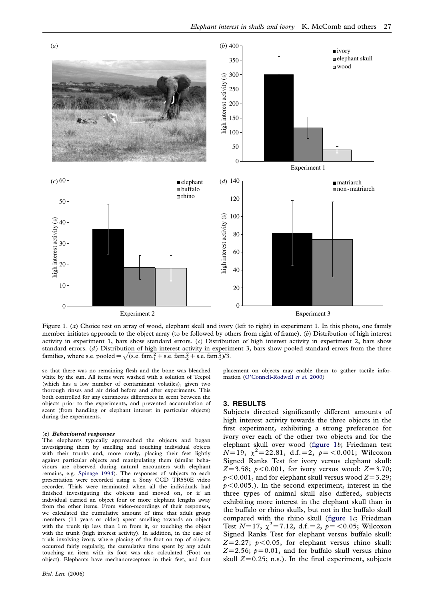<span id="page-1-0"></span>

Figure 1. (a) Choice test on array of wood, elephant skull and ivory (left to right) in experiment 1. In this photo, one family member initiates approach to the object array (to be followed by others from right of frame). (b) Distribution of high interest activity in experiment 1, bars show standard errors.  $(c)$  Distribution of high interest activity in experiment 2, bars show standard errors. (d) Distribution of high interest activity in experiment 3, bars show pooled standard errors from the three families, where s.e. pooled =  $\sqrt{\text{(s.e. $\text{fan} \cdot \frac{2}{1} + \text{s.e. $\text{fan} \cdot \frac{2}{2} + \text{s.e. $\text{fan} \cdot \frac{2}{3}]} \cdot$ 

so that there was no remaining flesh and the bone was bleached white by the sun. All items were washed with a solution of Teepol (which has a low number of contaminant volatiles), given two thorough rinses and air dried before and after experiments. This both controlled for any extraneous differences in scent between the objects prior to the experiments, and prevented accumulation of scent (from handling or elephant interest in particular objects) during the experiments.

## (c) Behavioural responses

The elephants typically approached the objects and began investigating them by smelling and touching individual objects with their trunks and, more rarely, placing their feet lightly against particular objects and manipulating them (similar behaviours are observed during natural encounters with elephant remains, e.g. [Spinage 1994](#page-2-0)). The responses of subjects to each presentation were recorded using a Sony CCD TR550E video recorder. Trials were terminated when all the individuals had finished investigating the objects and moved on, or if an individual carried an object four or more elephant lengths away from the other items. From video-recordings of their responses, we calculated the cumulative amount of time that adult group members (11 years or older) spent smelling towards an object with the trunk tip less than 1 m from it, or touching the object with the trunk (high interest activity). In addition, in the case of trials involving ivory, where placing of the foot on top of objects occurred fairly regularly, the cumulative time spent by any adult touching an item with its foot was also calculated (Foot on object). Elephants have mechanoreceptors in their feet, and foot placement on objects may enable them to gather tactile information ([O'Connell-Rodwell](#page-2-0) et al. 2000)

#### 3. RESULTS

Subjects directed significantly different amounts of high interest activity towards the three objects in the first experiment, exhibiting a strong preference for ivory over each of the other two objects and for the elephant skull over wood (figure 1b; Friedman test  $N=19$ ,  $\chi^2 = 22.81$ , d.f. = 2,  $p = 0.001$ ; Wilcoxon Signed Ranks Test for ivory versus elephant skull:  $Z=3.58$ ;  $p < 0.001$ , for ivory versus wood:  $Z=3.70$ ;  $p$ <0.001, and for elephant skull versus wood Z=3.29;  $p < 0.005$ .). In the second experiment, interest in the three types of animal skull also differed, subjects exhibiting more interest in the elephant skull than in the buffalo or rhino skulls, but not in the buffalo skull compared with the rhino skull (figure 1c; Friedman Test  $N=17$ ,  $\chi^2 = 7.12$ , d.f. = 2,  $p = 0.05$ ; Wilcoxon Signed Ranks Test for elephant versus buffalo skull:  $Z=2.27$ ;  $p < 0.05$ , for elephant versus rhino skull:  $Z=2.56$ ;  $p=0.01$ , and for buffalo skull versus rhino skull  $Z=0.25$ ; n.s.). In the final experiment, subjects